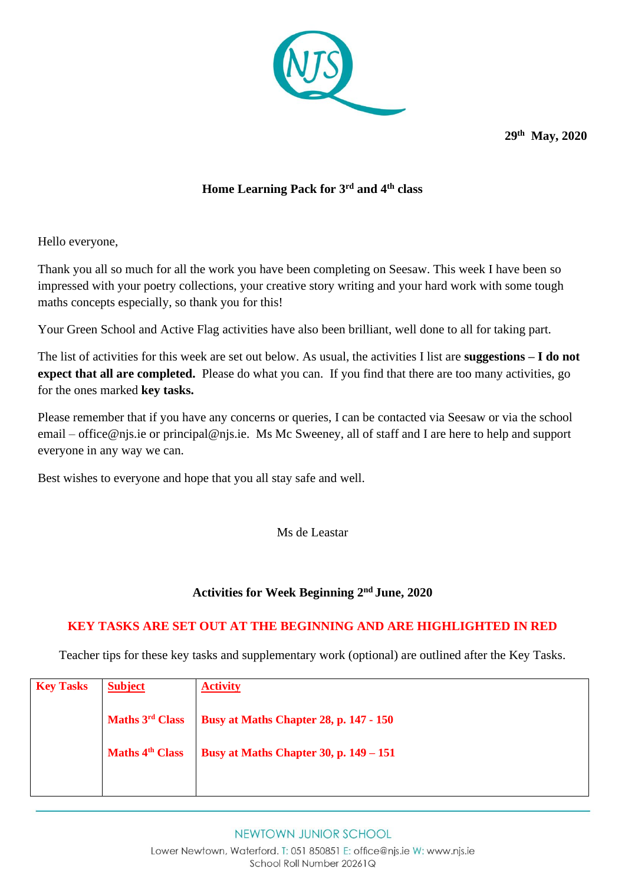

**29 th May, 2020**

## **Home Learning Pack for 3 rd and 4th class**

Hello everyone,

Thank you all so much for all the work you have been completing on Seesaw. This week I have been so impressed with your poetry collections, your creative story writing and your hard work with some tough maths concepts especially, so thank you for this!

Your Green School and Active Flag activities have also been brilliant, well done to all for taking part.

The list of activities for this week are set out below. As usual, the activities I list are **suggestions – I do not expect that all are completed.** Please do what you can. If you find that there are too many activities, go for the ones marked **key tasks.** 

Please remember that if you have any concerns or queries, I can be contacted via Seesaw or via the school email – [office@njs.ie](mailto:office@njs.ie) or [principal@njs.ie.](mailto:principal@njs.ie) Ms Mc Sweeney, all of staff and I are here to help and support everyone in any way we can.

Best wishes to everyone and hope that you all stay safe and well.

Ms de Leastar

## **Activities for Week Beginning 2 nd June, 2020**

## **KEY TASKS ARE SET OUT AT THE BEGINNING AND ARE HIGHLIGHTED IN RED**

Teacher tips for these key tasks and supplementary work (optional) are outlined after the Key Tasks.

| <b>Key Tasks</b> | <b>Subject</b>              | <b>Activity</b>                        |
|------------------|-----------------------------|----------------------------------------|
|                  | Maths 3 <sup>rd</sup> Class | Busy at Maths Chapter 28, p. 147 - 150 |
|                  | Maths 4 <sup>th</sup> Class | Busy at Maths Chapter 30, p. 149 – 151 |
|                  |                             |                                        |

NEWTOWN JUNIOR SCHOOL

Lower Newtown, Waterford. T: 051 850851 E: office@njs.ie W: www.njs.ie School Roll Number 20261Q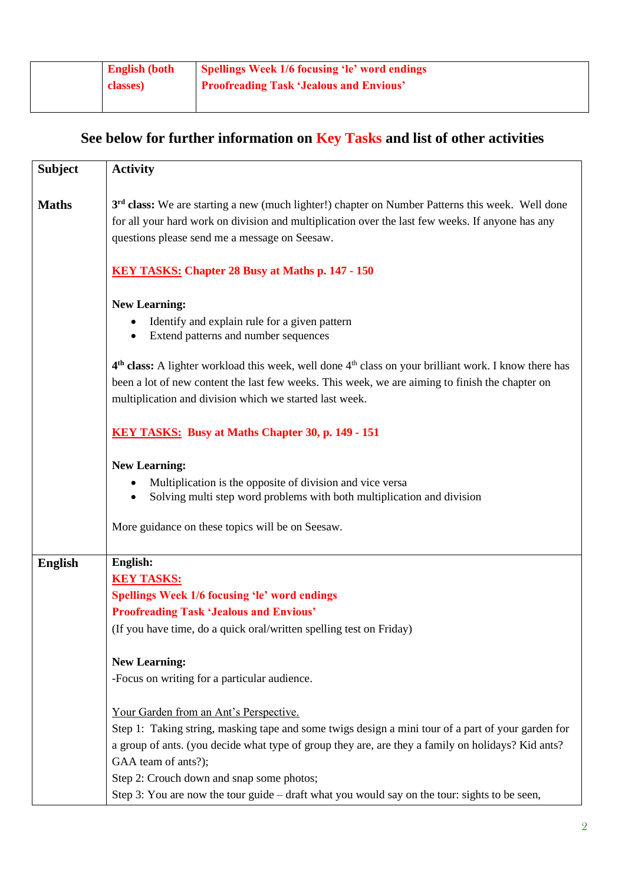## **See below for further information on Key Tasks and list of other activities**

| <b>Subject</b> | <b>Activity</b>                                                                                                                                                                                                                                                                                                                                                                                                                                    |  |
|----------------|----------------------------------------------------------------------------------------------------------------------------------------------------------------------------------------------------------------------------------------------------------------------------------------------------------------------------------------------------------------------------------------------------------------------------------------------------|--|
| <b>Maths</b>   | 3 <sup>rd</sup> class: We are starting a new (much lighter!) chapter on Number Patterns this week. Well done<br>for all your hard work on division and multiplication over the last few weeks. If anyone has any<br>questions please send me a message on Seesaw.<br><b>KEY TASKS: Chapter 28 Busy at Maths p. 147 - 150</b><br><b>New Learning:</b><br>Identify and explain rule for a given pattern<br>Extend patterns and number sequences<br>٠ |  |
|                |                                                                                                                                                                                                                                                                                                                                                                                                                                                    |  |
|                |                                                                                                                                                                                                                                                                                                                                                                                                                                                    |  |
|                | 4 <sup>th</sup> class: A lighter workload this week, well done 4 <sup>th</sup> class on your brilliant work. I know there has<br>been a lot of new content the last few weeks. This week, we are aiming to finish the chapter on<br>multiplication and division which we started last week.                                                                                                                                                        |  |
|                | KEY TASKS: Busy at Maths Chapter 30, p. 149 - 151                                                                                                                                                                                                                                                                                                                                                                                                  |  |
|                | <b>New Learning:</b><br>Multiplication is the opposite of division and vice versa<br>Solving multi step word problems with both multiplication and division<br>$\bullet$<br>More guidance on these topics will be on Seesaw.                                                                                                                                                                                                                       |  |
| <b>English</b> | English:<br><b>KEY TASKS:</b><br><b>Spellings Week 1/6 focusing 'le' word endings</b><br><b>Proofreading Task 'Jealous and Envious'</b><br>(If you have time, do a quick oral/written spelling test on Friday)<br><b>New Learning:</b><br>-Focus on writing for a particular audience.                                                                                                                                                             |  |
|                | Your Garden from an Ant's Perspective.<br>Step 1: Taking string, masking tape and some twigs design a mini tour of a part of your garden for<br>a group of ants. (you decide what type of group they are, are they a family on holidays? Kid ants?<br>GAA team of ants?);<br>Step 2: Crouch down and snap some photos;<br>Step 3: You are now the tour guide – draft what you would say on the tour: sights to be seen,                            |  |